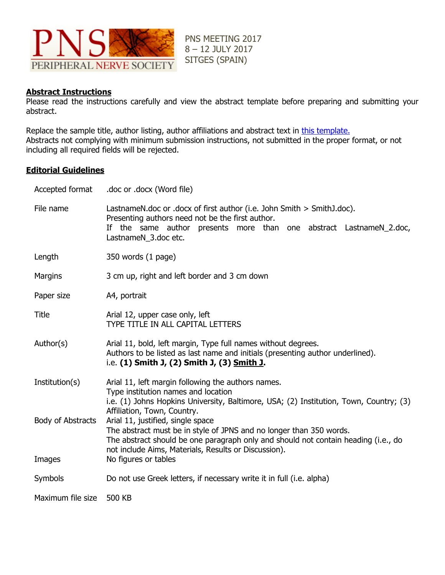

PNS MEETING 2017 8 – 12 JULY 2017 SITGES (SPAIN)

# **Abstract Instructions**

Please read the instructions carefully and view the abstract template before preparing and submitting your abstract.

Replace the sample title, author listing, author affiliations and abstract text in [this template.](http://www.theoffice.it/wp-content/uploads/2016/11/PNS2017_AbstractTemplate.docx) Abstracts not complying with minimum submission instructions, not submitted in the proper format, or not including all required fields will be rejected.

### **Editorial Guidelines**

| Accepted format   | .doc or .docx (Word file)                                                                                                                                                                                                                              |
|-------------------|--------------------------------------------------------------------------------------------------------------------------------------------------------------------------------------------------------------------------------------------------------|
| File name         | LastnameN.doc or .docx of first author (i.e. John Smith > SmithJ.doc).<br>Presenting authors need not be the first author.<br>If the same author presents more than one abstract LastnameN_2.doc,<br>LastnameN_3.doc etc.                              |
| Length            | 350 words (1 page)                                                                                                                                                                                                                                     |
| <b>Margins</b>    | 3 cm up, right and left border and 3 cm down                                                                                                                                                                                                           |
| Paper size        | A4, portrait                                                                                                                                                                                                                                           |
| Title             | Arial 12, upper case only, left<br>TYPE TITLE IN ALL CAPITAL LETTERS                                                                                                                                                                                   |
| Author(s)         | Arial 11, bold, left margin, Type full names without degrees.<br>Authors to be listed as last name and initials (presenting author underlined).<br>i.e. (1) Smith J, (2) Smith J, (3) Smith J.                                                         |
| Institution(s)    | Arial 11, left margin following the authors names.<br>Type institution names and location<br>i.e. (1) Johns Hopkins University, Baltimore, USA; (2) Institution, Town, Country; (3)<br>Affiliation, Town, Country.                                     |
| Body of Abstracts | Arial 11, justified, single space<br>The abstract must be in style of JPNS and no longer than 350 words.<br>The abstract should be one paragraph only and should not contain heading (i.e., do<br>not include Aims, Materials, Results or Discussion). |
| Images            | No figures or tables                                                                                                                                                                                                                                   |
| Symbols           | Do not use Greek letters, if necessary write it in full (i.e. alpha)                                                                                                                                                                                   |
| Maximum file size | 500 KB                                                                                                                                                                                                                                                 |